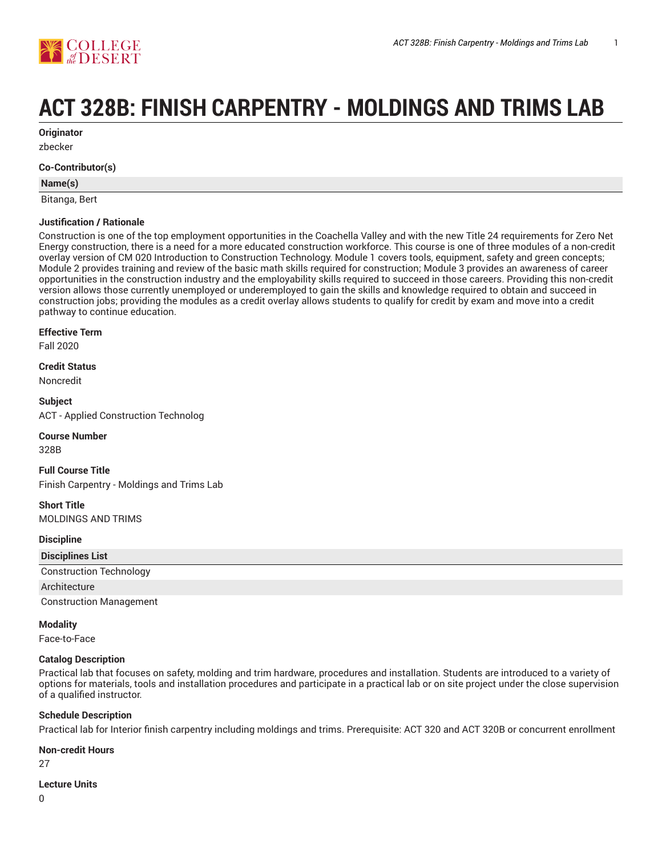

# **ACT 328B: FINISH CARPENTRY - MOLDINGS AND TRIMS LAB**

**Originator**

zbecker

#### **Co-Contributor(s)**

### **Name(s)**

Bitanga, Bert

#### **Justification / Rationale**

Construction is one of the top employment opportunities in the Coachella Valley and with the new Title 24 requirements for Zero Net Energy construction, there is a need for a more educated construction workforce. This course is one of three modules of a non-credit overlay version of CM 020 Introduction to Construction Technology. Module 1 covers tools, equipment, safety and green concepts; Module 2 provides training and review of the basic math skills required for construction; Module 3 provides an awareness of career opportunities in the construction industry and the employability skills required to succeed in those careers. Providing this non-credit version allows those currently unemployed or underemployed to gain the skills and knowledge required to obtain and succeed in construction jobs; providing the modules as a credit overlay allows students to qualify for credit by exam and move into a credit pathway to continue education.

#### **Effective Term**

Fall 2020

#### **Credit Status**

Noncredit

**Subject** ACT - Applied Construction Technolog

#### **Course Number**

328B

**Full Course Title** Finish Carpentry - Moldings and Trims Lab

## **Short Title**

MOLDINGS AND TRIMS

#### **Discipline**

| <b>Disciplines List</b>        |  |
|--------------------------------|--|
| <b>Construction Technology</b> |  |
| Architecture                   |  |
| <b>Construction Management</b> |  |

#### **Modality**

Face-to-Face

#### **Catalog Description**

Practical lab that focuses on safety, molding and trim hardware, procedures and installation. Students are introduced to a variety of options for materials, tools and installation procedures and participate in a practical lab or on site project under the close supervision of a qualified instructor.

#### **Schedule Description**

Practical lab for Interior finish carpentry including moldings and trims. Prerequisite: ACT 320 and ACT 320B or concurrent enrollment

#### **Non-credit Hours**

27

#### **Lecture Units**

 $\Omega$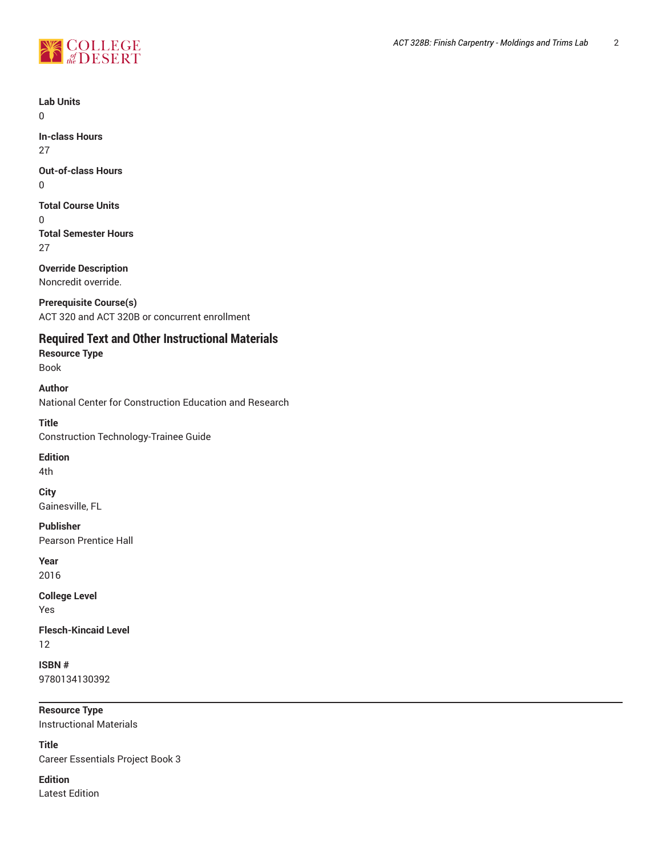

**Lab Units**

 $\Omega$ 

**In-class Hours** 27

**Out-of-class Hours**

0

**Total Course Units**

0 **Total Semester Hours** 27

**Override Description** Noncredit override.

**Prerequisite Course(s)** ACT 320 and ACT 320B or concurrent enrollment

**Required Text and Other Instructional Materials**

**Resource Type** Book

**Author** National Center for Construction Education and Research

**Title** Construction Technology-Trainee Guide

**Edition**

4th

**City**

Gainesville, FL

**Publisher** Pearson Prentice Hall

**Year** 2016

**College Level**

Yes

**Flesch-Kincaid Level** 12

**ISBN #** 9780134130392

**Resource Type** Instructional Materials

**Title** Career Essentials Project Book 3

**Edition** Latest Edition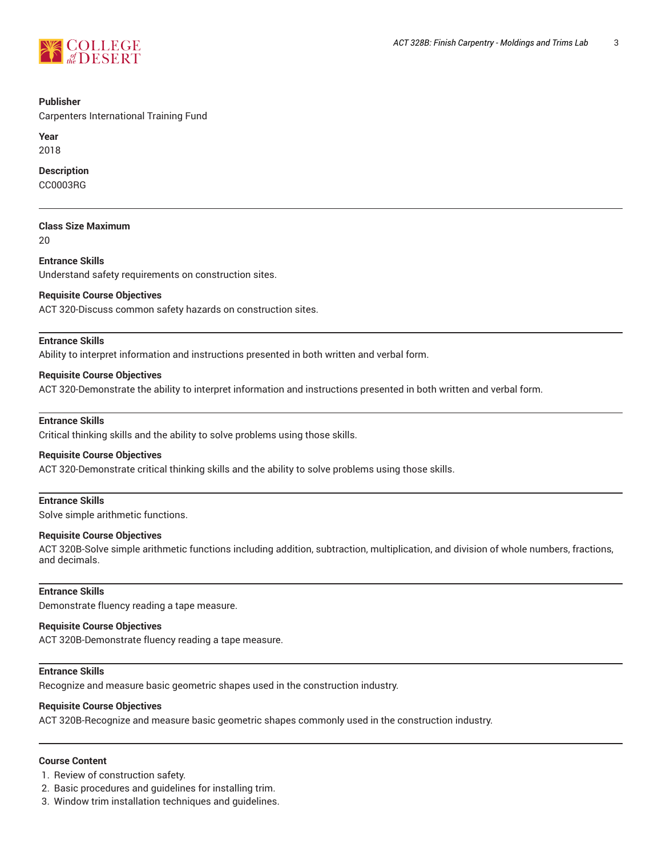

#### **Publisher**

Carpenters International Training Fund

**Year** 2018

#### **Description**

CC0003RG

## **Class Size Maximum**

20

# **Entrance Skills**

Understand safety requirements on construction sites.

#### **Requisite Course Objectives**

ACT 320-Discuss common safety hazards on construction sites.

#### **Entrance Skills**

Ability to interpret information and instructions presented in both written and verbal form.

#### **Requisite Course Objectives**

ACT 320-Demonstrate the ability to interpret information and instructions presented in both written and verbal form.

#### **Entrance Skills**

Critical thinking skills and the ability to solve problems using those skills.

#### **Requisite Course Objectives**

ACT 320-Demonstrate critical thinking skills and the ability to solve problems using those skills.

#### **Entrance Skills**

Solve simple arithmetic functions.

#### **Requisite Course Objectives**

ACT 320B-Solve simple arithmetic functions including addition, subtraction, multiplication, and division of whole numbers, fractions, and decimals.

## **Entrance Skills**

Demonstrate fluency reading a tape measure.

#### **Requisite Course Objectives**

ACT 320B-Demonstrate fluency reading a tape measure.

## **Entrance Skills**

Recognize and measure basic geometric shapes used in the construction industry.

#### **Requisite Course Objectives**

ACT 320B-Recognize and measure basic geometric shapes commonly used in the construction industry.

# **Course Content**

1. Review of construction safety.

- 2. Basic procedures and guidelines for installing trim.
- 3. Window trim installation techniques and guidelines.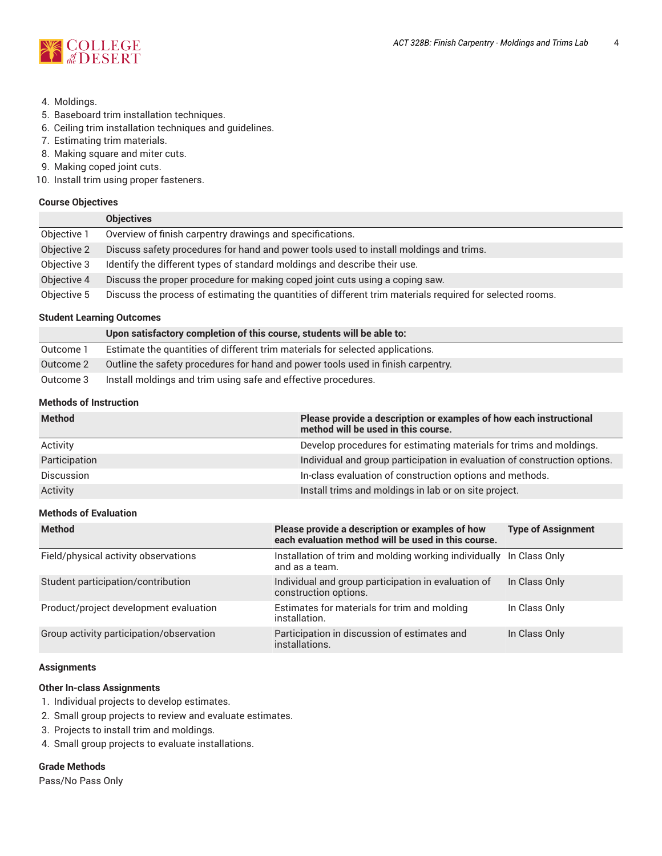

- 4. Moldings.
- 5. Baseboard trim installation techniques.
- 6. Ceiling trim installation techniques and guidelines.
- 7. Estimating trim materials.
- 8. Making square and miter cuts.
- 9. Making coped joint cuts.
- 10. Install trim using proper fasteners.

#### **Course Objectives**

|             | <b>Objectives</b>                                                                                         |
|-------------|-----------------------------------------------------------------------------------------------------------|
| Objective 1 | Overview of finish carpentry drawings and specifications.                                                 |
| Objective 2 | Discuss safety procedures for hand and power tools used to install moldings and trims.                    |
| Objective 3 | Identify the different types of standard moldings and describe their use.                                 |
| Objective 4 | Discuss the proper procedure for making coped joint cuts using a coping saw.                              |
| Objective 5 | Discuss the process of estimating the quantities of different trim materials required for selected rooms. |

# **Student Learning Outcomes**

|           | Upon satisfactory completion of this course, students will be able to:           |
|-----------|----------------------------------------------------------------------------------|
| Outcome 1 | Estimate the quantities of different trim materials for selected applications.   |
| Outcome 2 | Outline the safety procedures for hand and power tools used in finish carpentry. |
| Outcome 3 | Install moldings and trim using safe and effective procedures.                   |

#### **Methods of Instruction**

| <b>Method</b>     | Please provide a description or examples of how each instructional<br>method will be used in this course. |
|-------------------|-----------------------------------------------------------------------------------------------------------|
| Activity          | Develop procedures for estimating materials for trims and moldings.                                       |
| Participation     | Individual and group participation in evaluation of construction options.                                 |
| <b>Discussion</b> | In-class evaluation of construction options and methods.                                                  |
| Activity          | Install trims and moldings in lab or on site project.                                                     |

# **Methods of Evaluation**

| <b>Method</b>                            | Please provide a description or examples of how<br>each evaluation method will be used in this course. | <b>Type of Assignment</b> |
|------------------------------------------|--------------------------------------------------------------------------------------------------------|---------------------------|
| Field/physical activity observations     | Installation of trim and molding working individually In Class Only<br>and as a team.                  |                           |
| Student participation/contribution       | Individual and group participation in evaluation of<br>construction options.                           | In Class Only             |
| Product/project development evaluation   | Estimates for materials for trim and molding<br>installation.                                          | In Class Only             |
| Group activity participation/observation | Participation in discussion of estimates and<br>installations.                                         | In Class Only             |

#### **Assignments**

#### **Other In-class Assignments**

- 1. Individual projects to develop estimates.
- 2. Small group projects to review and evaluate estimates.
- 3. Projects to install trim and moldings.
- 4. Small group projects to evaluate installations.

#### **Grade Methods**

Pass/No Pass Only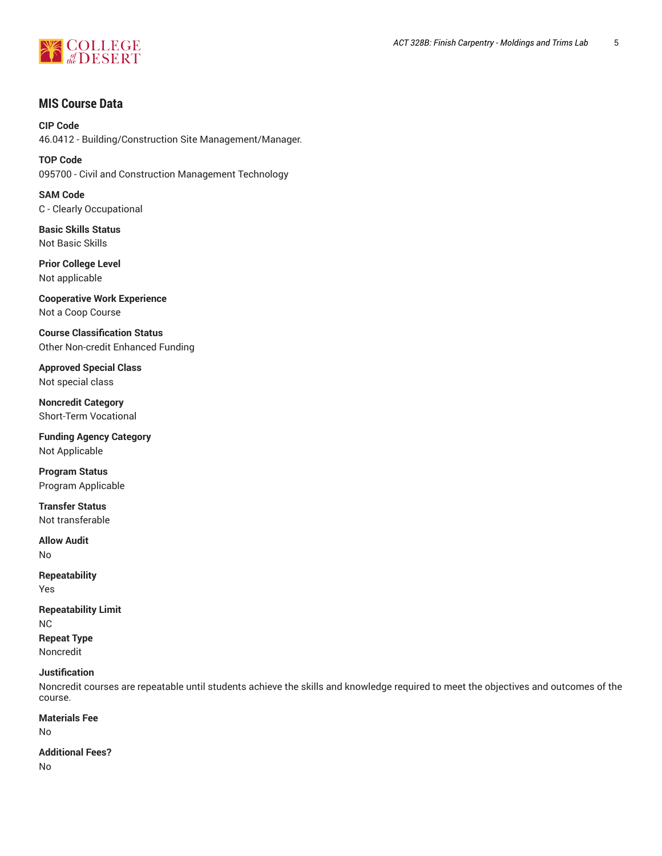

# **MIS Course Data**

**CIP Code** 46.0412 - Building/Construction Site Management/Manager.

**TOP Code** 095700 - Civil and Construction Management Technology

**SAM Code** C - Clearly Occupational

**Basic Skills Status** Not Basic Skills

**Prior College Level** Not applicable

**Cooperative Work Experience** Not a Coop Course

**Course Classification Status** Other Non-credit Enhanced Funding

**Approved Special Class** Not special class

**Noncredit Category** Short-Term Vocational

**Funding Agency Category** Not Applicable

**Program Status** Program Applicable

**Transfer Status** Not transferable

**Allow Audit** No

**Repeatability** Yes

**Repeatability Limit** NC **Repeat Type** Noncredit

# **Justification**

Noncredit courses are repeatable until students achieve the skills and knowledge required to meet the objectives and outcomes of the course.

**Materials Fee** No

**Additional Fees?** No